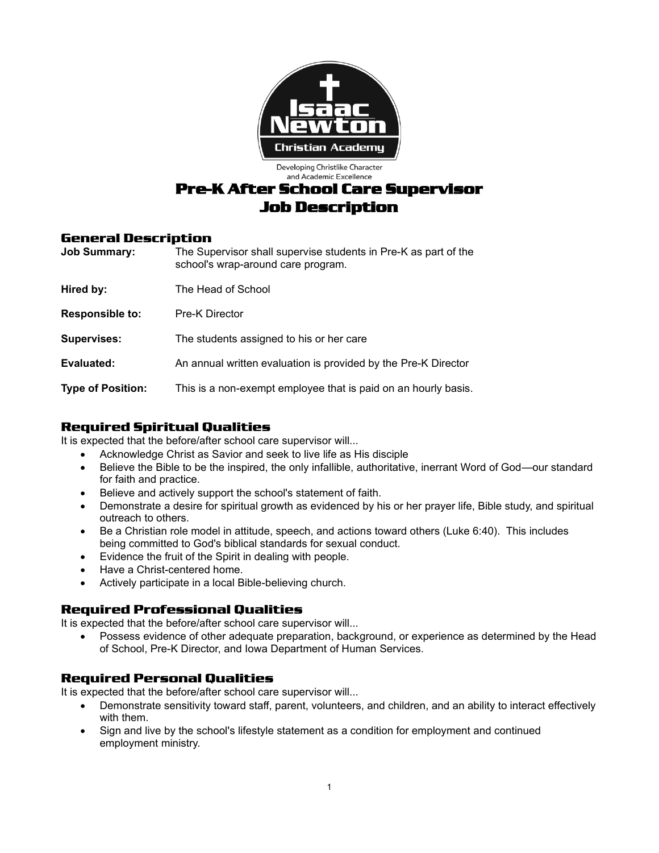

Developing Christlike Character and Academic Excellence

# **Pre-K After School Care Supervisor Job Description**

### **General Description**

| <b>Job Summary:</b>      | The Supervisor shall supervise students in Pre-K as part of the<br>school's wrap-around care program. |
|--------------------------|-------------------------------------------------------------------------------------------------------|
| Hired by:                | The Head of School                                                                                    |
| <b>Responsible to:</b>   | <b>Pre-K Director</b>                                                                                 |
| <b>Supervises:</b>       | The students assigned to his or her care                                                              |
| Evaluated:               | An annual written evaluation is provided by the Pre-K Director                                        |
| <b>Type of Position:</b> | This is a non-exempt employee that is paid on an hourly basis.                                        |

# **Required Spiritual Qualities**

It is expected that the before/after school care supervisor will...

- Acknowledge Christ as Savior and seek to live life as His disciple
- Believe the Bible to be the inspired, the only infallible, authoritative, inerrant Word of God—our standard for faith and practice.
- Believe and actively support the school's statement of faith.
- Demonstrate a desire for spiritual growth as evidenced by his or her prayer life, Bible study, and spiritual outreach to others.
- Be a Christian role model in attitude, speech, and actions toward others (Luke 6:40). This includes being committed to God's biblical standards for sexual conduct.
- Evidence the fruit of the Spirit in dealing with people.
- Have a Christ-centered home.
- Actively participate in a local Bible-believing church.

## **Required Professional Qualities**

It is expected that the before/after school care supervisor will...

• Possess evidence of other adequate preparation, background, or experience as determined by the Head of School, Pre-K Director, and Iowa Department of Human Services.

## **Required Personal Qualities**

It is expected that the before/after school care supervisor will...

- Demonstrate sensitivity toward staff, parent, volunteers, and children, and an ability to interact effectively with them.
- Sign and live by the school's lifestyle statement as a condition for employment and continued employment ministry.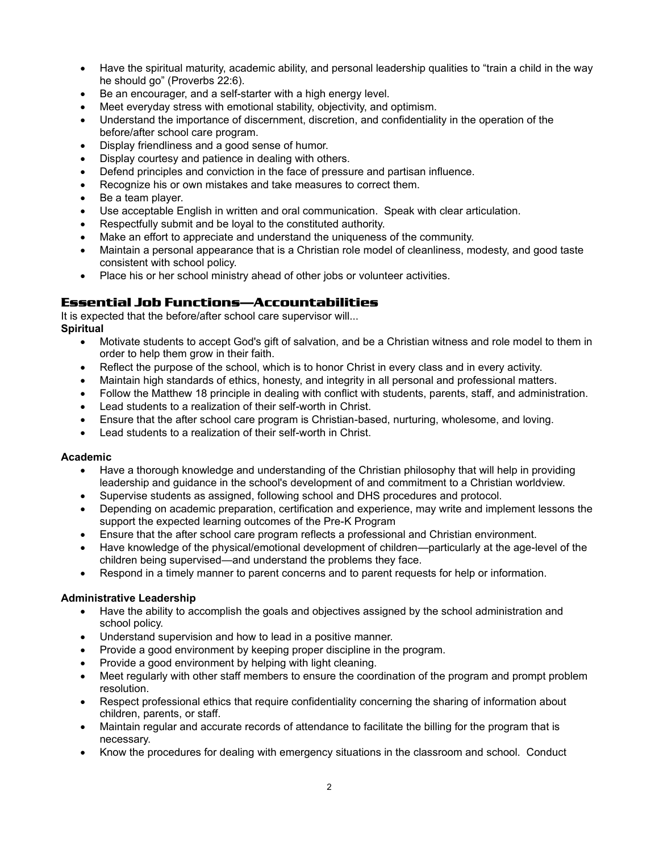- Have the spiritual maturity, academic ability, and personal leadership qualities to "train a child in the way he should go" (Proverbs 22:6).
- Be an encourager, and a self-starter with a high energy level.
- Meet everyday stress with emotional stability, objectivity, and optimism.
- Understand the importance of discernment, discretion, and confidentiality in the operation of the before/after school care program.
- Display friendliness and a good sense of humor.
- Display courtesy and patience in dealing with others.
- Defend principles and conviction in the face of pressure and partisan influence.
- Recognize his or own mistakes and take measures to correct them.
- Be a team player.
- Use acceptable English in written and oral communication. Speak with clear articulation.
- Respectfully submit and be loyal to the constituted authority.
- Make an effort to appreciate and understand the uniqueness of the community.
- Maintain a personal appearance that is a Christian role model of cleanliness, modesty, and good taste consistent with school policy.
- Place his or her school ministry ahead of other jobs or volunteer activities.

### **Essential Job Functions—Accountabilities**

It is expected that the before/after school care supervisor will... **Spiritual**

- Motivate students to accept God's gift of salvation, and be a Christian witness and role model to them in order to help them grow in their faith.
- Reflect the purpose of the school, which is to honor Christ in every class and in every activity.
- Maintain high standards of ethics, honesty, and integrity in all personal and professional matters.
- Follow the Matthew 18 principle in dealing with conflict with students, parents, staff, and administration.
- Lead students to a realization of their self-worth in Christ.
- Ensure that the after school care program is Christian-based, nurturing, wholesome, and loving.
- Lead students to a realization of their self-worth in Christ.

#### **Academic**

- Have a thorough knowledge and understanding of the Christian philosophy that will help in providing leadership and guidance in the school's development of and commitment to a Christian worldview.
- Supervise students as assigned, following school and DHS procedures and protocol.
- Depending on academic preparation, certification and experience, may write and implement lessons the support the expected learning outcomes of the Pre-K Program
- Ensure that the after school care program reflects a professional and Christian environment.
- Have knowledge of the physical/emotional development of children—particularly at the age-level of the children being supervised—and understand the problems they face.
- Respond in a timely manner to parent concerns and to parent requests for help or information.

#### **Administrative Leadership**

- Have the ability to accomplish the goals and objectives assigned by the school administration and school policy.
- Understand supervision and how to lead in a positive manner.
- Provide a good environment by keeping proper discipline in the program.
- Provide a good environment by helping with light cleaning.
- Meet regularly with other staff members to ensure the coordination of the program and prompt problem resolution.
- Respect professional ethics that require confidentiality concerning the sharing of information about children, parents, or staff.
- Maintain regular and accurate records of attendance to facilitate the billing for the program that is necessary.
- Know the procedures for dealing with emergency situations in the classroom and school. Conduct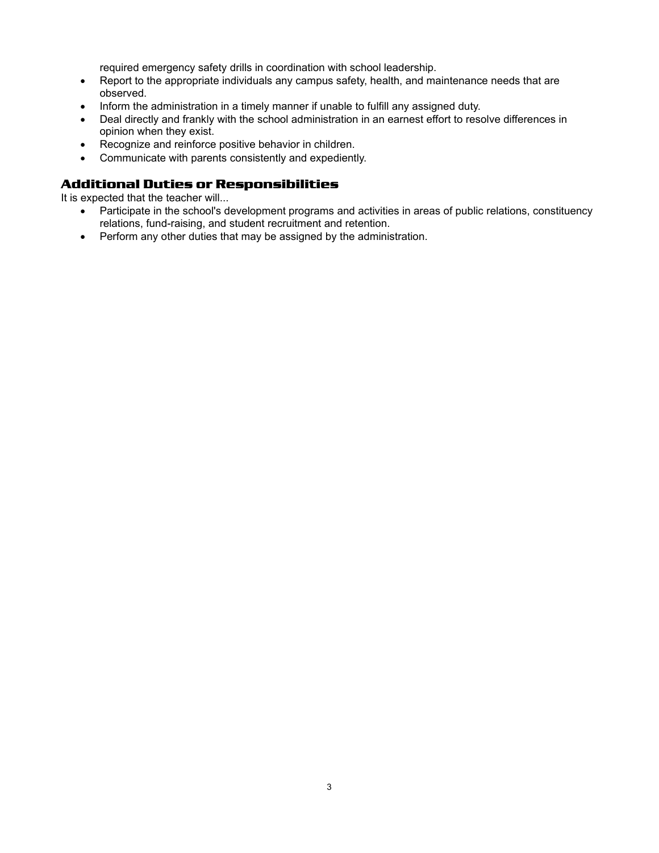required emergency safety drills in coordination with school leadership.

- Report to the appropriate individuals any campus safety, health, and maintenance needs that are observed.
- Inform the administration in a timely manner if unable to fulfill any assigned duty.
- Deal directly and frankly with the school administration in an earnest effort to resolve differences in opinion when they exist.
- Recognize and reinforce positive behavior in children.
- Communicate with parents consistently and expediently.

### **Additional Duties or Responsibilities**

It is expected that the teacher will...

- Participate in the school's development programs and activities in areas of public relations, constituency relations, fund-raising, and student recruitment and retention.
- Perform any other duties that may be assigned by the administration.